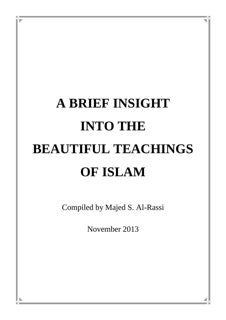# **A BRIEF INSIGHT INTO THE BEAUTIFUL TEACHINGS OF ISLAM**

Compiled by Majed S. Al-Rassi

November 2013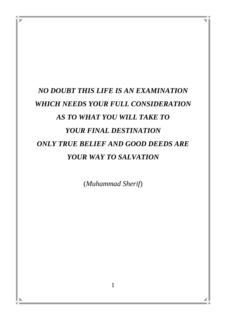# *NO DOUBT THIS LIFE IS AN EXAMINATION WHICH NEEDS YOUR FULL CONSIDERATION AS TO WHAT YOU WILL TAKE TO YOUR FINAL DESTINATION ONLY TRUE BELIEF AND GOOD DEEDS ARE YOUR WAY TO SALVATION*

(*Muhammad Sherif*)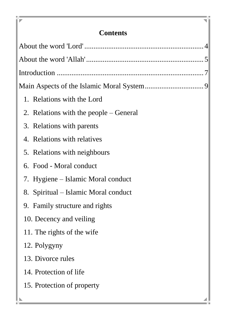# **Contents**

P

ĐF.

| 1. Relations with the Lord             |  |
|----------------------------------------|--|
| 2. Relations with the people – General |  |
| 3. Relations with parents              |  |
| 4. Relations with relatives            |  |
| 5. Relations with neighbours           |  |
| 6. Food - Moral conduct                |  |
| 7. Hygiene – Islamic Moral conduct     |  |
| 8. Spiritual – Islamic Moral conduct   |  |
| 9. Family structure and rights         |  |
| 10. Decency and veiling                |  |
| 11. The rights of the wife             |  |
| 12. Polygyny                           |  |
| 13. Divorce rules                      |  |
| 14. Protection of life                 |  |
| 15. Protection of property             |  |
|                                        |  |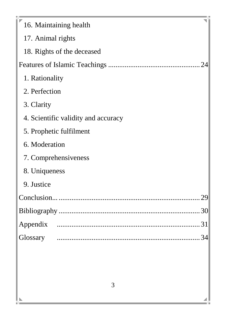| 16. Maintaining health              |  |  |  |  |
|-------------------------------------|--|--|--|--|
| 17. Animal rights                   |  |  |  |  |
| 18. Rights of the deceased          |  |  |  |  |
|                                     |  |  |  |  |
| 1. Rationality                      |  |  |  |  |
| 2. Perfection                       |  |  |  |  |
| 3. Clarity                          |  |  |  |  |
| 4. Scientific validity and accuracy |  |  |  |  |
| 5. Prophetic fulfilment             |  |  |  |  |
| 6. Moderation                       |  |  |  |  |
| 7. Comprehensiveness                |  |  |  |  |
| 8. Uniqueness                       |  |  |  |  |
| 9. Justice                          |  |  |  |  |
|                                     |  |  |  |  |
|                                     |  |  |  |  |
|                                     |  |  |  |  |
|                                     |  |  |  |  |
|                                     |  |  |  |  |
|                                     |  |  |  |  |

ı

ĐE.

◢

4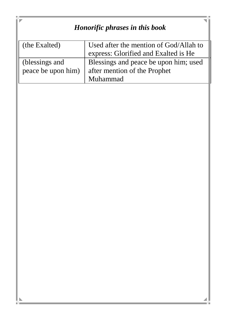| Honorific phrases in this book       |                                                                                   |  |  |
|--------------------------------------|-----------------------------------------------------------------------------------|--|--|
| (the Exalted)                        | Used after the mention of God/Allah to<br>express: Glorified and Exalted is He    |  |  |
| (blessings and<br>peace be upon him) | Blessings and peace be upon him; used<br>after mention of the Prophet<br>Muhammad |  |  |
|                                      |                                                                                   |  |  |
|                                      |                                                                                   |  |  |
|                                      |                                                                                   |  |  |
|                                      |                                                                                   |  |  |
|                                      |                                                                                   |  |  |
|                                      |                                                                                   |  |  |
|                                      |                                                                                   |  |  |
|                                      |                                                                                   |  |  |
|                                      |                                                                                   |  |  |
|                                      |                                                                                   |  |  |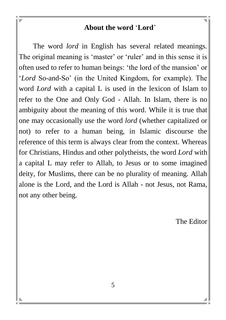#### **About the word** '**Lord**'

The word *lord* in English has several related meanings. The original meaning is 'master' or 'ruler' and in this sense it is often used to refer to human beings: 'the lord of the mansion' or '*Lord* So-and-So' (in the United Kingdom, for example). The word *Lord* with a capital L is used in the lexicon of Islam to refer to the One and Only God - Allah. In Islam, there is no ambiguity about the meaning of this word. While it is true that one may occasionally use the word *lord* (whether capitalized or not) to refer to a human being, in Islamic discourse the reference of this term is always clear from the context. Whereas for Christians, Hindus and other polytheists, the word *Lord* with a capital L may refer to Allah, to Jesus or to some imagined deity, for Muslims, there can be no plurality of meaning. Allah alone is the Lord, and the Lord is Allah - not Jesus, not Rama, not any other being.

The Editor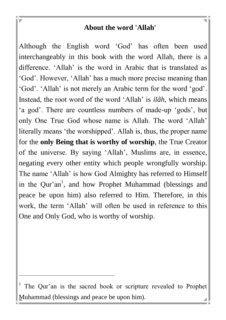#### **About the word 'Allah'**

Although the English word 'God' has often been used interchangeably in this book with the word Allah, there is a difference. 'Allah' is the word in Arabic that is translated as 'God'. However, 'Allah' has a much more precise meaning than 'God'. 'Allah' is not merely an Arabic term for the word 'god'. Instead, the root word of the word 'Allah' is *ilâh*, which means 'a god'. There are countless numbers of made-up 'gods', but only One True God whose name is Allah. The word 'Allah' literally means 'the worshipped'. Allah is, thus, the proper name for the **only Being that is worthy of worship**, the True Creator of the universe. By saying 'Allah', Muslims are, in essence, negating every other entity which people wrongfully worship. The name 'Allah' is how God Almighty has referred to Himself in the Qur'an<sup>1</sup>, and how Prophet Muhammad (blessings and peace be upon him) also referred to Him. Therefore, in this work, the term 'Allah' will often be used in reference to this One and Only God, who is worthy of worship.

l

<sup>&</sup>lt;sup>1</sup> The Qur'an is the sacred book or scripture revealed to Prophet Muhammad (blessings and peace be upon him).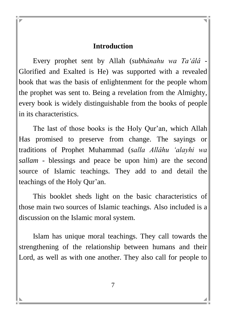#### **Introduction**

Every prophet sent by Allah (*subhânahu wa Ta'âlâ -* Glorified and Exalted is He) was supported with a revealed book that was the basis of enlightenment for the people whom the prophet was sent to. Being a revelation from the Almighty, every book is widely distinguishable from the books of people in its characteristics.

The last of those books is the Holy Qur'an, which Allah Has promised to preserve from change. The sayings or traditions of Prophet Muhammad (*salla Allâhu 'alayhi wa sallam -* blessings and peace be upon him) are the second source of Islamic teachings. They add to and detail the teachings of the Holy Qur'an.

This booklet sheds light on the basic characteristics of those main two sources of Islamic teachings. Also included is a discussion on the Islamic moral system.

Islam has unique moral teachings. They call towards the strengthening of the relationship between humans and their Lord, as well as with one another. They also call for people to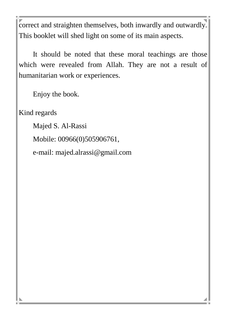correct and straighten themselves, both inwardly and outwardly. This booklet will shed light on some of its main aspects.

It should be noted that these moral teachings are those which were revealed from Allah. They are not a result of humanitarian work or experiences.

Enjoy the book.

Kind regards

Majed S. Al-Rassi

Mobile: 00966(0)505906761,

e-mail: majed.alrassi@gmail.com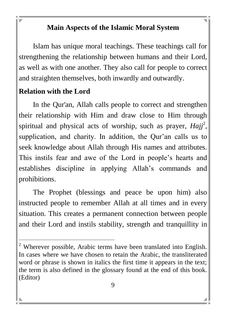#### **Main Aspects of the Islamic Moral System**

Islam has unique moral teachings. These teachings call for strengthening the relationship between humans and their Lord, as well as with one another. They also call for people to correct and straighten themselves, both inwardly and outwardly.

#### **Relation with the Lord**

l

In the Qur'an, Allah calls people to correct and strengthen their relationship with Him and draw close to Him through spiritual and physical acts of worship, such as prayer,  $Hajj<sup>2</sup>$ , supplication, and charity. In addition, the Qur'an calls us to seek knowledge about Allah through His names and attributes. This instils fear and awe of the Lord in people's hearts and establishes discipline in applying Allah's commands and prohibitions.

The Prophet (blessings and peace be upon him) also instructed people to remember Allah at all times and in every situation. This creates a permanent connection between people and their Lord and instils stability, strength and tranquillity in

 $2$  Wherever possible, Arabic terms have been translated into English. In cases where we have chosen to retain the Arabic, the transliterated word or phrase is shown in italics the first time it appears in the text; the term is also defined in the glossary found at the end of this book. (Editor)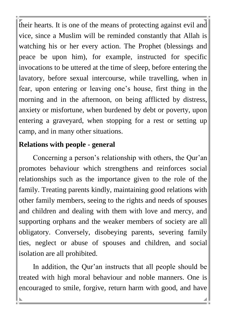their hearts. It is one of the means of protecting against evil and vice, since a Muslim will be reminded constantly that Allah is watching his or her every action. The Prophet (blessings and peace be upon him), for example, instructed for specific invocations to be uttered at the time of sleep, before entering the lavatory, before sexual intercourse, while travelling, when in fear, upon entering or leaving one's house, first thing in the morning and in the afternoon, on being afflicted by distress, anxiety or misfortune, when burdened by debt or poverty, upon entering a graveyard, when stopping for a rest or setting up camp, and in many other situations.

#### **Relations with people - general**

Concerning a person's relationship with others, the Qur'an promotes behaviour which strengthens and reinforces social relationships such as the importance given to the role of the family. Treating parents kindly, maintaining good relations with other family members, seeing to the rights and needs of spouses and children and dealing with them with love and mercy, and supporting orphans and the weaker members of society are all obligatory. Conversely, disobeying parents, severing family ties, neglect or abuse of spouses and children, and social isolation are all prohibited.

In addition, the Qur'an instructs that all people should be treated with high moral behaviour and noble manners. One is encouraged to smile, forgive, return harm with good, and have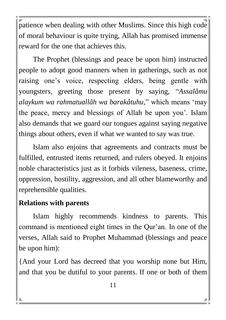patience when dealing with other Muslims. Since this high code of moral behaviour is quite trying, Allah has promised immense reward for the one that achieves this.

The Prophet (blessings and peace be upon him) instructed people to adopt good manners when in gatherings, such as not raising one's voice, respecting elders, being gentle with youngsters, greeting those present by saying, "*Assalâmu alaykum wa rahmatuallâh wa barakâtuhu*," which means 'may the peace, mercy and blessings of Allah be upon you'. Islam also demands that we guard our tongues against saying negative things about others, even if what we wanted to say was true.

Islam also enjoins that agreements and contracts must be fulfilled, entrusted items returned, and rulers obeyed. It enjoins noble characteristics just as it forbids vileness, baseness, crime, oppression, hostility, aggression, and all other blameworthy and reprehensible qualities.

#### **Relations with parents**

Islam highly recommends kindness to parents. This command is mentioned eight times in the Qur'an. In one of the verses, Allah said to Prophet Muhammad (blessings and peace be upon him):

{And your Lord has decreed that you worship none but Him, and that you be dutiful to your parents. If one or both of them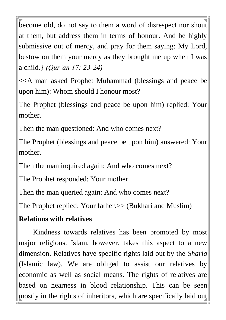become old, do not say to them a word of disrespect nor shout at them, but address them in terms of honour. And be highly submissive out of mercy, and pray for them saying: My Lord, bestow on them your mercy as they brought me up when I was a child.} *(Qur'an 17: 23-24)*

<<A man asked Prophet Muhammad (blessings and peace be upon him): Whom should I honour most?

The Prophet (blessings and peace be upon him) replied: Your mother.

Then the man questioned: And who comes next?

The Prophet (blessings and peace be upon him) answered: Your mother.

Then the man inquired again: And who comes next?

The Prophet responded: Your mother.

Then the man queried again: And who comes next?

The Prophet replied: Your father.>> (Bukhari and Muslim)

#### **Relations with relatives**

Kindness towards relatives has been promoted by most major religions. Islam, however, takes this aspect to a new dimension. Relatives have specific rights laid out by the *Sharia* (Islamic law). We are obliged to assist our relatives by economic as well as social means. The rights of relatives are based on nearness in blood relationship. This can be seen mostly in the rights of inheritors, which are specifically laid out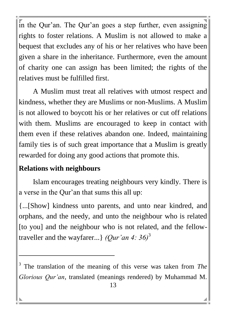in the Qur'an. The Qur'an goes a step further, even assigning rights to foster relations. A Muslim is not allowed to make a bequest that excludes any of his or her relatives who have been given a share in the inheritance. Furthermore, even the amount of charity one can assign has been limited; the rights of the relatives must be fulfilled first.

A Muslim must treat all relatives with utmost respect and kindness, whether they are Muslims or non-Muslims. A Muslim is not allowed to boycott his or her relatives or cut off relations with them. Muslims are encouraged to keep in contact with them even if these relatives abandon one. Indeed, maintaining family ties is of such great importance that a Muslim is greatly rewarded for doing any good actions that promote this.

#### **Relations with neighbours**

l

Islam encourages treating neighbours very kindly. There is a verse in the Qur'an that sums this all up:

{...[Show] kindness unto parents, and unto near kindred, and orphans, and the needy, and unto the neighbour who is related [to you] and the neighbour who is not related, and the fellowtraveller and the wayfarer...} *(Qur'an 4: 36)*<sup>3</sup>

<sup>3</sup> The translation of the meaning of this verse was taken from *The Glorious Qur'an*, translated (meanings rendered) by Muhammad M.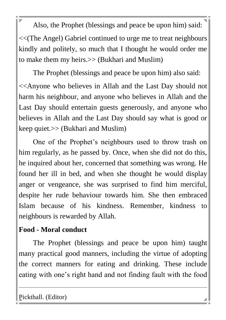Also, the Prophet (blessings and peace be upon him) said: <<(The Angel) Gabriel continued to urge me to treat neighbours kindly and politely, so much that I thought he would order me to make them my heirs.>> (Bukhari and Muslim)

The Prophet (blessings and peace be upon him) also said:

<<Anyone who believes in Allah and the Last Day should not harm his neighbour, and anyone who believes in Allah and the Last Day should entertain guests generously, and anyone who believes in Allah and the Last Day should say what is good or keep quiet.>> (Bukhari and Muslim)

One of the Prophet's neighbours used to throw trash on him regularly, as he passed by. Once, when she did not do this, he inquired about her, concerned that something was wrong. He found her ill in bed, and when she thought he would display anger or vengeance, she was surprised to find him merciful, despite her rude behaviour towards him. She then embraced Islam because of his kindness. Remember, kindness to neighbours is rewarded by Allah.

#### **Food - Moral conduct**

The Prophet (blessings and peace be upon him) taught many practical good manners, including the virtue of adopting the correct manners for eating and drinking. These include eating with one's right hand and not finding fault with the food

Pickthall. (Editor)

l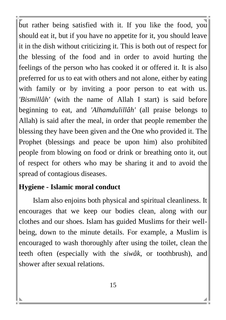but rather being satisfied with it. If you like the food, you should eat it, but if you have no appetite for it, you should leave it in the dish without criticizing it. This is both out of respect for the blessing of the food and in order to avoid hurting the feelings of the person who has cooked it or offered it. It is also preferred for us to eat with others and not alone, either by eating with family or by inviting a poor person to eat with us. *'Bismillâh'* (with the name of Allah I start) is said before beginning to eat, and *'Alhamdulillâh'* (all praise belongs to Allah) is said after the meal, in order that people remember the blessing they have been given and the One who provided it. The Prophet (blessings and peace be upon him) also prohibited people from blowing on food or drink or breathing onto it, out of respect for others who may be sharing it and to avoid the spread of contagious diseases.

#### **Hygiene - Islamic moral conduct**

Islam also enjoins both physical and spiritual cleanliness. It encourages that we keep our bodies clean, along with our clothes and our shoes. Islam has guided Muslims for their wellbeing, down to the minute details. For example, a Muslim is encouraged to wash thoroughly after using the toilet, clean the teeth often (especially with the *siwâk*, or toothbrush), and shower after sexual relations.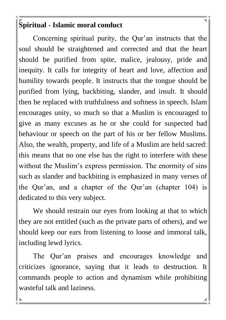#### **Spiritual - Islamic moral conduct**

Concerning spiritual purity, the Qur'an instructs that the soul should be straightened and corrected and that the heart should be purified from spite, malice, jealousy, pride and inequity. It calls for integrity of heart and love, affection and humility towards people. It instructs that the tongue should be purified from lying, backbiting, slander, and insult. It should then be replaced with truthfulness and softness in speech. Islam encourages unity, so much so that a Muslim is encouraged to give as many excuses as he or she could for suspected bad behaviour or speech on the part of his or her fellow Muslims. Also, the wealth, property, and life of a Muslim are held sacred: this means that no one else has the right to interfere with these without the Muslim's express permission. The enormity of sins such as slander and backbiting is emphasized in many verses of the Qur'an, and a chapter of the Qur'an (chapter 104) is dedicated to this very subject.

We should restrain our eyes from looking at that to which they are not entitled (such as the private parts of others), and we should keep our ears from listening to loose and immoral talk, including lewd lyrics.

The Qur'an praises and encourages knowledge and criticizes ignorance, saying that it leads to destruction. It commands people to action and dynamism while prohibiting wasteful talk and laziness.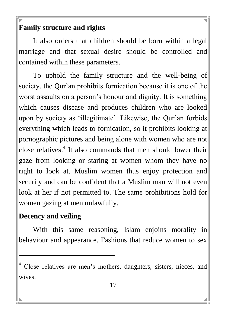#### **Family structure and rights**

It also orders that children should be born within a legal marriage and that sexual desire should be controlled and contained within these parameters.

To uphold the family structure and the well-being of society, the Qur'an prohibits fornication because it is one of the worst assaults on a person's honour and dignity. It is something which causes disease and produces children who are looked upon by society as 'illegitimate'. Likewise, the Qur'an forbids everything which leads to fornication, so it prohibits looking at pornographic pictures and being alone with women who are not close relatives.<sup>4</sup> It also commands that men should lower their gaze from looking or staring at women whom they have no right to look at. Muslim women thus enjoy protection and security and can be confident that a Muslim man will not even look at her if not permitted to. The same prohibitions hold for women gazing at men unlawfully.

#### **Decency and veiling**

l

With this same reasoning, Islam enjoins morality in behaviour and appearance. Fashions that reduce women to sex

<sup>&</sup>lt;sup>4</sup> Close relatives are men's mothers, daughters, sisters, nieces, and wives.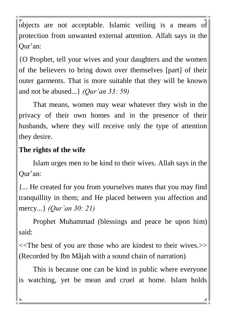objects are not acceptable. Islamic veiling is a means of protection from unwanted external attention. Allah says in the Qur'an:

{O Prophet, tell your wives and your daughters and the women of the believers to bring down over themselves [part] of their outer garments. That is more suitable that they will be known and not be abused...} *(Qur'an 33: 59)*

That means, women may wear whatever they wish in the privacy of their own homes and in the presence of their husbands, where they will receive only the type of attention they desire.

#### **The rights of the wife**

Islam urges men to be kind to their wives. Allah says in the Qur'an:

{... He created for you from yourselves mates that you may find tranquillity in them; and He placed between you affection and mercy*...*} *(Qur'an 30: 21)*

Prophet Muhammad (blessings and peace be upon him) said:

<<The best of you are those who are kindest to their wives.>> (Recorded by Ibn Mâjah with a sound chain of narration)

This is because one can be kind in public where everyone is watching, yet be mean and cruel at home. Islam holds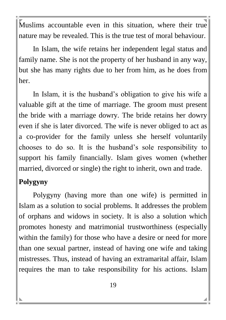Muslims accountable even in this situation, where their true nature may be revealed. This is the true test of moral behaviour.

In Islam, the wife retains her independent legal status and family name. She is not the property of her husband in any way, but she has many rights due to her from him, as he does from her.

In Islam, it is the husband's obligation to give his wife a valuable gift at the time of marriage. The groom must present the bride with a marriage dowry. The bride retains her dowry even if she is later divorced. The wife is never obliged to act as a co-provider for the family unless she herself voluntarily chooses to do so. It is the husband's sole responsibility to support his family financially. Islam gives women (whether married, divorced or single) the right to inherit, own and trade.

### **Polygyny**

Polygyny (having more than one wife) is permitted in Islam as a solution to social problems. It addresses the problem of orphans and widows in society. It is also a solution which promotes honesty and matrimonial trustworthiness (especially within the family) for those who have a desire or need for more than one sexual partner, instead of having one wife and taking mistresses. Thus, instead of having an extramarital affair, Islam requires the man to take responsibility for his actions. Islam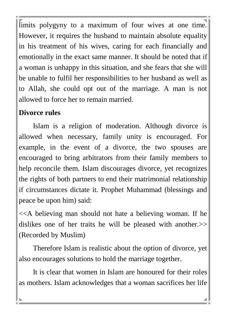limits polygyny to a maximum of four wives at one time. However, it requires the husband to maintain absolute equality in his treatment of his wives, caring for each financially and emotionally in the exact same manner. It should be noted that if a woman is unhappy in this situation, and she fears that she will be unable to fulfil her responsibilities to her husband as well as to Allah, she could opt out of the marriage. A man is not allowed to force her to remain married.

#### **Divorce rules**

Islam is a religion of moderation. Although divorce is allowed when necessary, family unity is encouraged. For example, in the event of a divorce, the two spouses are encouraged to bring arbitrators from their family members to help reconcile them. Islam discourages divorce, yet recognizes the rights of both partners to end their matrimonial relationship if circumstances dictate it. Prophet Muhammad (blessings and peace be upon him) said:

<<A believing man should not hate a believing woman. If he dislikes one of her traits he will be pleased with another.  $\gg$ (Recorded by Muslim)

Therefore Islam is realistic about the option of divorce, yet also encourages solutions to hold the marriage together.

It is clear that women in Islam are honoured for their roles as mothers. Islam acknowledges that a woman sacrifices her life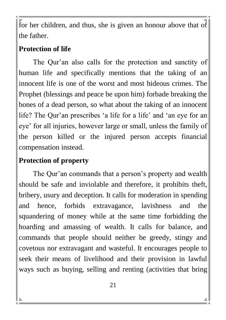for her children, and thus, she is given an honour above that of the father.

#### **Protection of life**

The Qur'an also calls for the protection and sanctity of human life and specifically mentions that the taking of an innocent life is one of the worst and most hideous crimes. The Prophet (blessings and peace be upon him) forbade breaking the bones of a dead person, so what about the taking of an innocent life? The Qur'an prescribes 'a life for a life' and 'an eye for an eye' for all injuries, however large or small, unless the family of the person killed or the injured person accepts financial compensation instead.

# **Protection of property**

The Qur'an commands that a person's property and wealth should be safe and inviolable and therefore, it prohibits theft, bribery, usury and deception. It calls for moderation in spending and hence, forbids extravagance, lavishness and the squandering of money while at the same time forbidding the hoarding and amassing of wealth. It calls for balance, and commands that people should neither be greedy, stingy and covetous nor extravagant and wasteful. It encourages people to seek their means of livelihood and their provision in lawful ways such as buying, selling and renting (activities that bring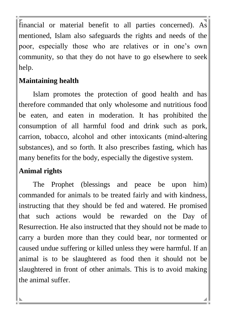financial or material benefit to all parties concerned). As mentioned, Islam also safeguards the rights and needs of the poor, especially those who are relatives or in one's own community, so that they do not have to go elsewhere to seek help.

#### **Maintaining health**

Islam promotes the protection of good health and has therefore commanded that only wholesome and nutritious food be eaten, and eaten in moderation. It has prohibited the consumption of all harmful food and drink such as pork, carrion, tobacco, alcohol and other intoxicants (mind-altering substances), and so forth. It also prescribes fasting, which has many benefits for the body, especially the digestive system.

#### **Animal rights**

The Prophet (blessings and peace be upon him) commanded for animals to be treated fairly and with kindness, instructing that they should be fed and watered. He promised that such actions would be rewarded on the Day of Resurrection. He also instructed that they should not be made to carry a burden more than they could bear, nor tormented or caused undue suffering or killed unless they were harmful. If an animal is to be slaughtered as food then it should not be slaughtered in front of other animals. This is to avoid making the animal suffer.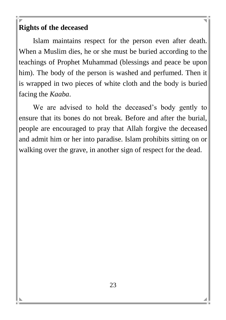#### **Rights of the deceased**

Islam maintains respect for the person even after death. When a Muslim dies, he or she must be buried according to the teachings of Prophet Muhammad (blessings and peace be upon him). The body of the person is washed and perfumed. Then it is wrapped in two pieces of white cloth and the body is buried facing the *Kaaba*.

We are advised to hold the deceased's body gently to ensure that its bones do not break. Before and after the burial, people are encouraged to pray that Allah forgive the deceased and admit him or her into paradise. Islam prohibits sitting on or walking over the grave, in another sign of respect for the dead.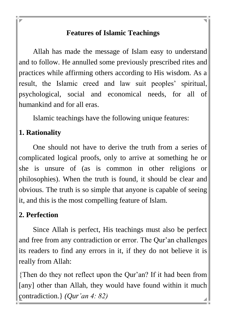#### **Features of Islamic Teachings**

Allah has made the message of Islam easy to understand and to follow. He annulled some previously prescribed rites and practices while affirming others according to His wisdom. As a result, the Islamic creed and law suit peoples' spiritual, psychological, social and economical needs, for all of humankind and for all eras.

Islamic teachings have the following unique features:

# **1. Rationality**

One should not have to derive the truth from a series of complicated logical proofs, only to arrive at something he or she is unsure of (as is common in other religions or philosophies). When the truth is found, it should be clear and obvious. The truth is so simple that anyone is capable of seeing it, and this is the most compelling feature of Islam.

#### **2. Perfection**

Since Allah is perfect, His teachings must also be perfect and free from any contradiction or error. The Qur'an challenges its readers to find any errors in it, if they do not believe it is really from Allah:

{Then do they not reflect upon the Qur'an? If it had been from [any] other than Allah, they would have found within it much contradiction.} *(Qur'an 4: 82)*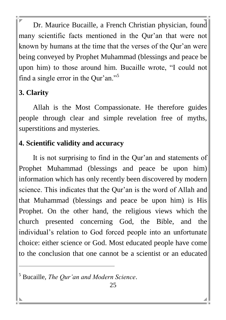Dr. Maurice Bucaille, a French Christian physician, found many scientific facts mentioned in the Qur'an that were not known by humans at the time that the verses of the Qur'an were being conveyed by Prophet Muhammad (blessings and peace be upon him) to those around him. Bucaille wrote, "I could not find a single error in the Qur'an."<sup>5</sup>

# **3. Clarity**

l

Allah is the Most Compassionate. He therefore guides people through clear and simple revelation free of myths, superstitions and mysteries.

#### **4. Scientific validity and accuracy**

It is not surprising to find in the Qur'an and statements of Prophet Muhammad (blessings and peace be upon him) information which has only recently been discovered by modern science. This indicates that the Qur'an is the word of Allah and that Muhammad (blessings and peace be upon him) is His Prophet. On the other hand, the religious views which the church presented concerning God, the Bible, and the individual's relation to God forced people into an unfortunate choice: either science or God. Most educated people have come to the conclusion that one cannot be a scientist or an educated

<sup>5</sup> Bucaille, *The Qur'an and Modern Science*.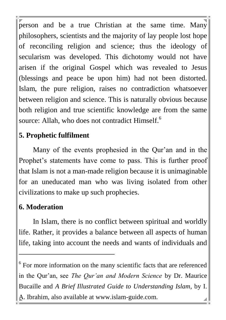person and be a true Christian at the same time. Many philosophers, scientists and the majority of lay people lost hope of reconciling religion and science; thus the ideology of secularism was developed. This dichotomy would not have arisen if the original Gospel which was revealed to Jesus (blessings and peace be upon him) had not been distorted. Islam, the pure religion, raises no contradiction whatsoever between religion and science. This is naturally obvious because both religion and true scientific knowledge are from the same source: Allah, who does not contradict Himself.<sup>6</sup>

#### **5. Prophetic fulfilment**

Many of the events prophesied in the Qur'an and in the Prophet's statements have come to pass. This is further proof that Islam is not a man-made religion because it is unimaginable for an uneducated man who was living isolated from other civilizations to make up such prophecies.

#### **6. Moderation**

l

In Islam, there is no conflict between spiritual and worldly life. Rather, it provides a balance between all aspects of human life, taking into account the needs and wants of individuals and

<sup>6</sup> For more information on the many scientific facts that are referenced in the Qur'an, see *The Qur'an and Modern Science* by Dr. Maurice Bucaille and *A Brief Illustrated Guide to Understanding Islam*, by I. A. Ibrahim, also available at www.islam-guide.com.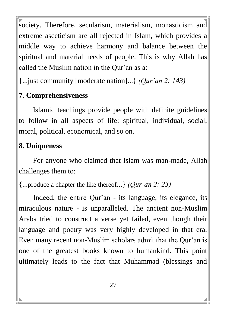society. Therefore, secularism, materialism, monasticism and extreme asceticism are all rejected in Islam, which provides a middle way to achieve harmony and balance between the spiritual and material needs of people. This is why Allah has called the Muslim nation in the Qur'an as a:

{...just community [moderate nation]...} *(Qur'an 2: 143)*

# **7. Comprehensiveness**

Islamic teachings provide people with definite guidelines to follow in all aspects of life: spiritual, individual, social, moral, political, economical, and so on.

# **8. Uniqueness**

For anyone who claimed that Islam was man-made, Allah challenges them to:

{...produce a chapter the like thereof...} *(Qur'an 2: 23)* 

Indeed, the entire Qur'an - its language, its elegance, its miraculous nature - is unparalleled. The ancient non-Muslim Arabs tried to construct a verse yet failed, even though their language and poetry was very highly developed in that era. Even many recent non-Muslim scholars admit that the Qur'an is one of the greatest books known to humankind. This point ultimately leads to the fact that Muhammad (blessings and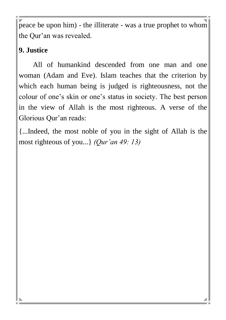peace be upon him) - the illiterate - was a true prophet to whom the Qur'an was revealed.

#### **9. Justice**

All of humankind descended from one man and one woman (Adam and Eve). Islam teaches that the criterion by which each human being is judged is righteousness, not the colour of one's skin or one's status in society. The best person in the view of Allah is the most righteous. A verse of the Glorious Qur'an reads:

{...Indeed, the most noble of you in the sight of Allah is the most righteous of you...} *(Qur'an 49: 13)*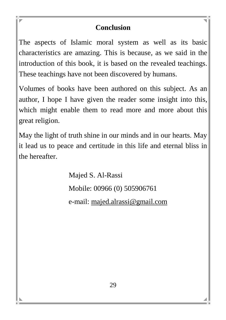#### **Conclusion**

The aspects of Islamic moral system as well as its basic characteristics are amazing. This is because, as we said in the introduction of this book, it is based on the revealed teachings. These teachings have not been discovered by humans.

Volumes of books have been authored on this subject. As an author, I hope I have given the reader some insight into this, which might enable them to read more and more about this great religion.

May the light of truth shine in our minds and in our hearts. May it lead us to peace and certitude in this life and eternal bliss in the hereafter.

Majed S. Al-Rassi

Mobile: 00966 (0) 505906761

e-mail: majed.alrassi@gmail.com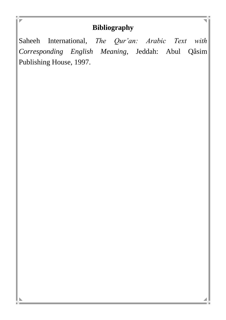#### **Bibliography**

Saheeh International, *The Qur'an: Arabic Text with Corresponding English Meaning*, Jeddah: Abul Qâsim Publishing House, 1997.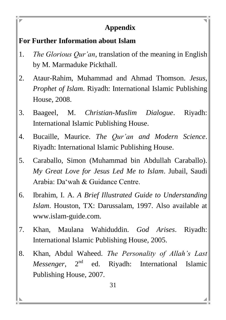#### **Appendix**

#### **For Further Information about Islam**

- 1. *The Glorious Qur'an*, translation of the meaning in English by M. Marmaduke Pickthall.
- 2. Ataur-Rahim, Muhammad and Ahmad Thomson. *Jesus, Prophet of Islam*. Riyadh: International Islamic Publishing House, 2008.
- 3. Baageel, M. *Christian-Muslim Dialogue*. Riyadh: International Islamic Publishing House.
- 4. Bucaille, Maurice. *The Qur'an and Modern Science*. Riyadh: International Islamic Publishing House.
- 5. Caraballo, Simon (Muhammad bin Abdullah Caraballo). *My Great Love for Jesus Led Me to Islam*. Jubail, Saudi Arabia: Da'wah & Guidance Centre.
- 6. Ibrahim, I. A. *A Brief Illustrated Guide to Understanding Islam*. Houston, TX: Darussalam, 1997. Also available at www.islam-guide.com.
- 7. Khan, Maulana Wahiduddin. *God Arises*. Riyadh: International Islamic Publishing House, 2005.
- 8. Khan, Abdul Waheed. *The Personality of Allah's Last Messenger*, 2<sup>nd</sup> ed. Rivadh: International Islamic Publishing House, 2007.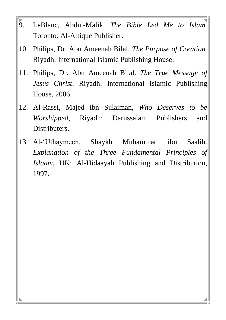- 9. LeBlanc, Abdul-Malik. *The Bible Led Me to Islam.* Toronto: Al-Attique Publisher.
- 10. Philips, Dr. Abu Ameenah Bilal. *The Purpose of Creation.* Riyadh: International Islamic Publishing House.
- 11. Philips, Dr. Abu Ameenah Bilal. *The True Message of Jesus Christ*. Riyadh: International Islamic Publishing House, 2006.
- 12. Al-Rassi, Majed ibn Sulaiman, *Who Deserves to be Worshipped*, Riyadh: Darussalam Publishers and Distributers.
- 13. Al-'Uthaymeen, Shaykh Muhammad ibn Saalih. *Explanation of the Three Fundamental Principles of Islaam.* UK: Al-Hidaayah Publishing and Distribution, 1997.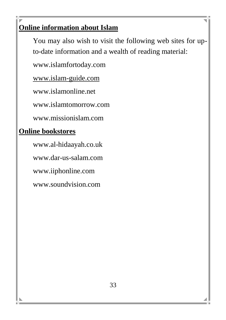# **Online information about Islam**

You may also wish to visit the following web sites for upto-date information and a wealth of reading material:

www.islamfortoday.com

[www.islam-guide.com](http://www.islam-guide.com/)

www.islamonline.net

www.islamtomorrow.com

www.missionislam.com

#### **Online bookstores**

www.al-hidaayah.co.uk www.dar-us-salam.com www.iiphonline.com www.soundvision.com